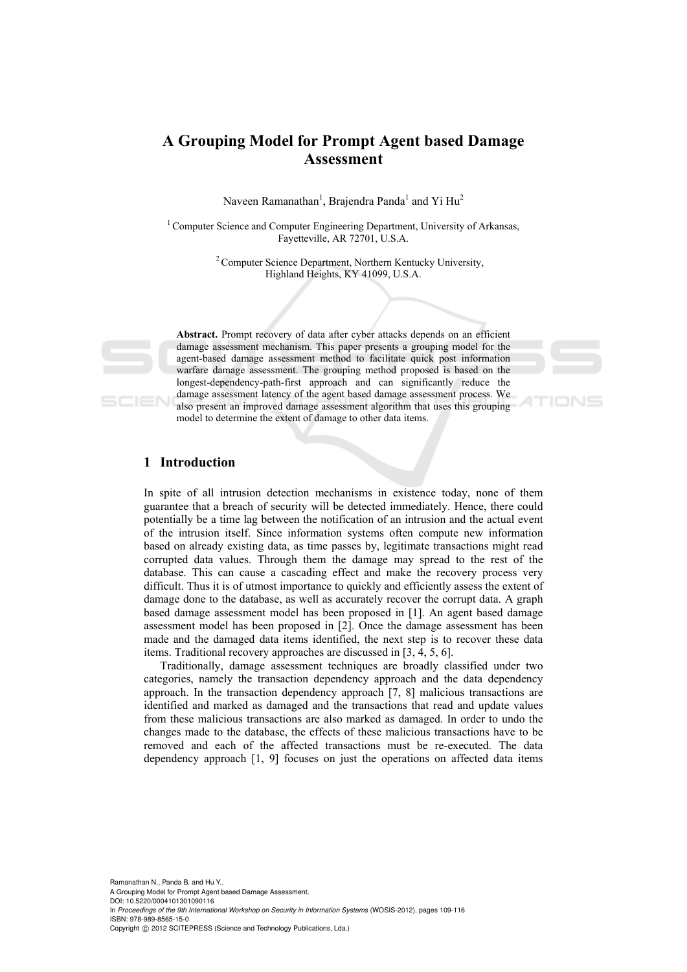# **A Grouping Model for Prompt Agent based Damage Assessment**

Naveen Ramanathan<sup>1</sup>, Brajendra Panda<sup>1</sup> and Yi Hu<sup>2</sup>

 $1$  Computer Science and Computer Engineering Department, University of Arkansas, Fayetteville, AR 72701, U.S.A.

> 2 Computer Science Department, Northern Kentucky University, Highland Heights, KY 41099, U.S.A.



**Abstract.** Prompt recovery of data after cyber attacks depends on an efficient damage assessment mechanism. This paper presents a grouping model for the agent-based damage assessment method to facilitate quick post information warfare damage assessment. The grouping method proposed is based on the longest-dependency-path-first approach and can significantly reduce the damage assessment latency of the agent based damage assessment process. We also present an improved damage assessment algorithm that uses this grouping model to determine the extent of damage to other data items.

# **1 Introduction**

In spite of all intrusion detection mechanisms in existence today, none of them guarantee that a breach of security will be detected immediately. Hence, there could potentially be a time lag between the notification of an intrusion and the actual event of the intrusion itself. Since information systems often compute new information based on already existing data, as time passes by, legitimate transactions might read corrupted data values. Through them the damage may spread to the rest of the database. This can cause a cascading effect and make the recovery process very difficult. Thus it is of utmost importance to quickly and efficiently assess the extent of damage done to the database, as well as accurately recover the corrupt data. A graph based damage assessment model has been proposed in [1]. An agent based damage assessment model has been proposed in [2]. Once the damage assessment has been made and the damaged data items identified, the next step is to recover these data items. Traditional recovery approaches are discussed in [3, 4, 5, 6].

Traditionally, damage assessment techniques are broadly classified under two categories, namely the transaction dependency approach and the data dependency approach. In the transaction dependency approach [7, 8] malicious transactions are identified and marked as damaged and the transactions that read and update values from these malicious transactions are also marked as damaged. In order to undo the changes made to the database, the effects of these malicious transactions have to be removed and each of the affected transactions must be re-executed. The data dependency approach [1, 9] focuses on just the operations on affected data items

Ramanathan N., Panda B. and Hu Y.. A Grouping Model for Prompt Agent based Damage Assessment. DOI: 10.5220/0004101301090116 In *Proceedings of the 9th International Workshop on Security in Information Systems* (WOSIS-2012), pages 109-116 ISBN: 978-989-8565-15-0 Copyright © 2012 SCITEPRESS (Science and Technology Publications, Lda.)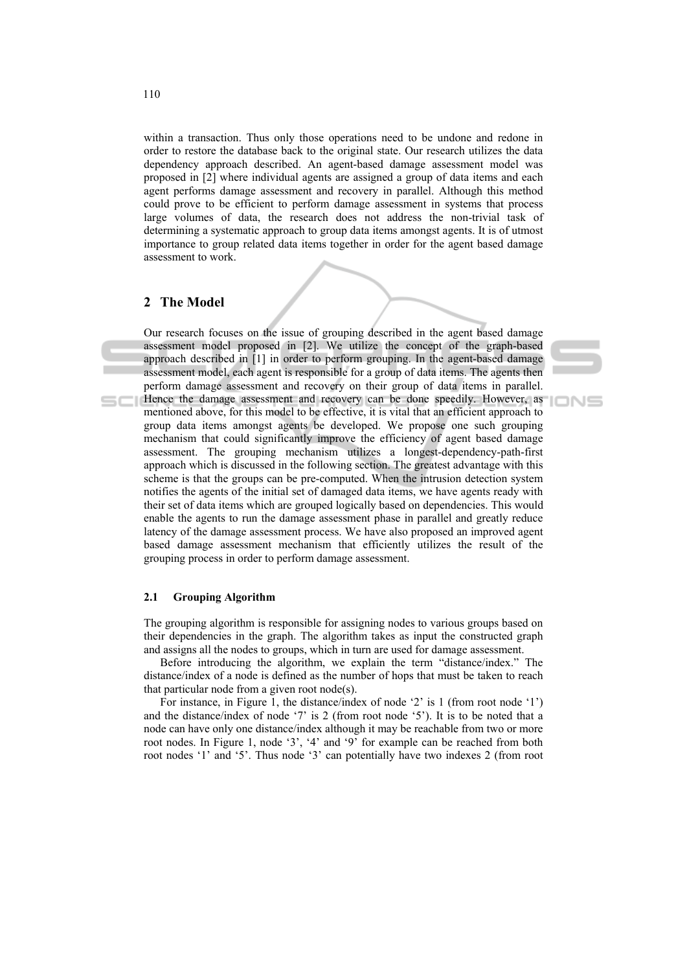within a transaction. Thus only those operations need to be undone and redone in order to restore the database back to the original state. Our research utilizes the data dependency approach described. An agent-based damage assessment model was proposed in [2] where individual agents are assigned a group of data items and each agent performs damage assessment and recovery in parallel. Although this method could prove to be efficient to perform damage assessment in systems that process large volumes of data, the research does not address the non-trivial task of determining a systematic approach to group data items amongst agents. It is of utmost importance to group related data items together in order for the agent based damage assessment to work.

# **2 The Model**

Our research focuses on the issue of grouping described in the agent based damage assessment model proposed in [2]. We utilize the concept of the graph-based approach described in [1] in order to perform grouping. In the agent-based damage assessment model, each agent is responsible for a group of data items. The agents then perform damage assessment and recovery on their group of data items in parallel. Hence the damage assessment and recovery can be done speedily. However, as mentioned above, for this model to be effective, it is vital that an efficient approach to group data items amongst agents be developed. We propose one such grouping mechanism that could significantly improve the efficiency of agent based damage assessment. The grouping mechanism utilizes a longest-dependency-path-first approach which is discussed in the following section. The greatest advantage with this scheme is that the groups can be pre-computed. When the intrusion detection system notifies the agents of the initial set of damaged data items, we have agents ready with their set of data items which are grouped logically based on dependencies. This would enable the agents to run the damage assessment phase in parallel and greatly reduce latency of the damage assessment process. We have also proposed an improved agent based damage assessment mechanism that efficiently utilizes the result of the grouping process in order to perform damage assessment.

#### **2.1 Grouping Algorithm**

The grouping algorithm is responsible for assigning nodes to various groups based on their dependencies in the graph. The algorithm takes as input the constructed graph and assigns all the nodes to groups, which in turn are used for damage assessment.

Before introducing the algorithm, we explain the term "distance/index." The distance/index of a node is defined as the number of hops that must be taken to reach that particular node from a given root node(s).

For instance, in Figure 1, the distance/index of node '2' is 1 (from root node '1') and the distance/index of node '7' is 2 (from root node '5'). It is to be noted that a node can have only one distance/index although it may be reachable from two or more root nodes. In Figure 1, node '3', '4' and '9' for example can be reached from both root nodes '1' and '5'. Thus node '3' can potentially have two indexes 2 (from root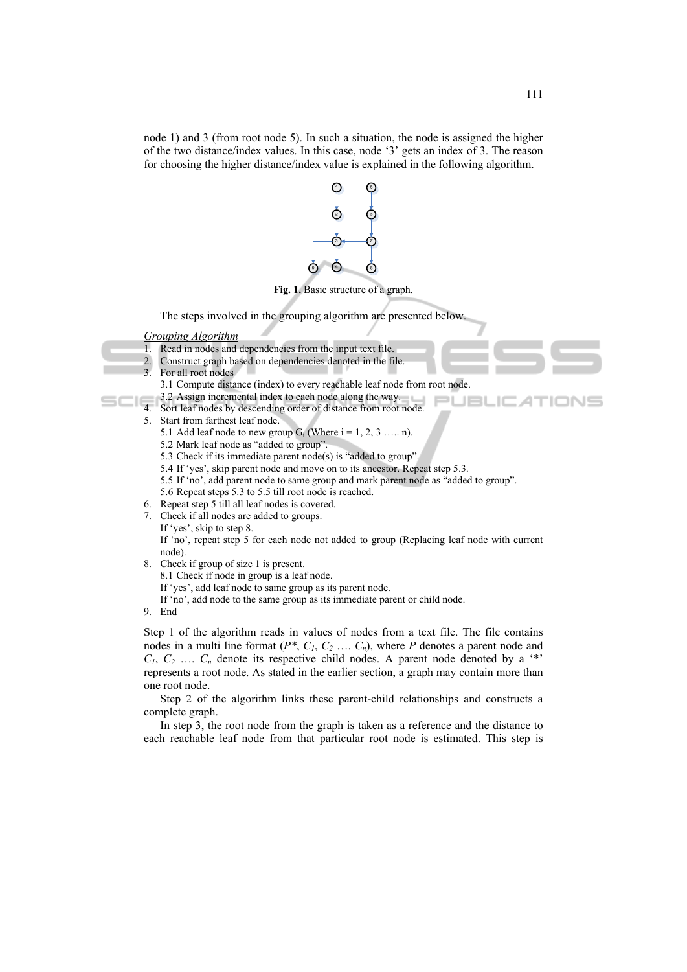node 1) and 3 (from root node 5). In such a situation, the node is assigned the higher of the two distance/index values. In this case, node '3' gets an index of 3. The reason for choosing the higher distance/index value is explained in the following algorithm.



- 8.1 Check if node in group is a leaf node.
- If 'yes', add leaf node to same group as its parent node.
- If 'no', add node to the same group as its immediate parent or child node.
- 9. End

Step 1 of the algorithm reads in values of nodes from a text file. The file contains nodes in a multi line format  $(P^*, C_1, C_2, \ldots, C_n)$ , where P denotes a parent node and  $C_1, C_2, \ldots, C_n$  denote its respective child nodes. A parent node denoted by a  $\cdot^*$ represents a root node. As stated in the earlier section, a graph may contain more than one root node.

Step 2 of the algorithm links these parent-child relationships and constructs a complete graph.

In step 3, the root node from the graph is taken as a reference and the distance to each reachable leaf node from that particular root node is estimated. This step is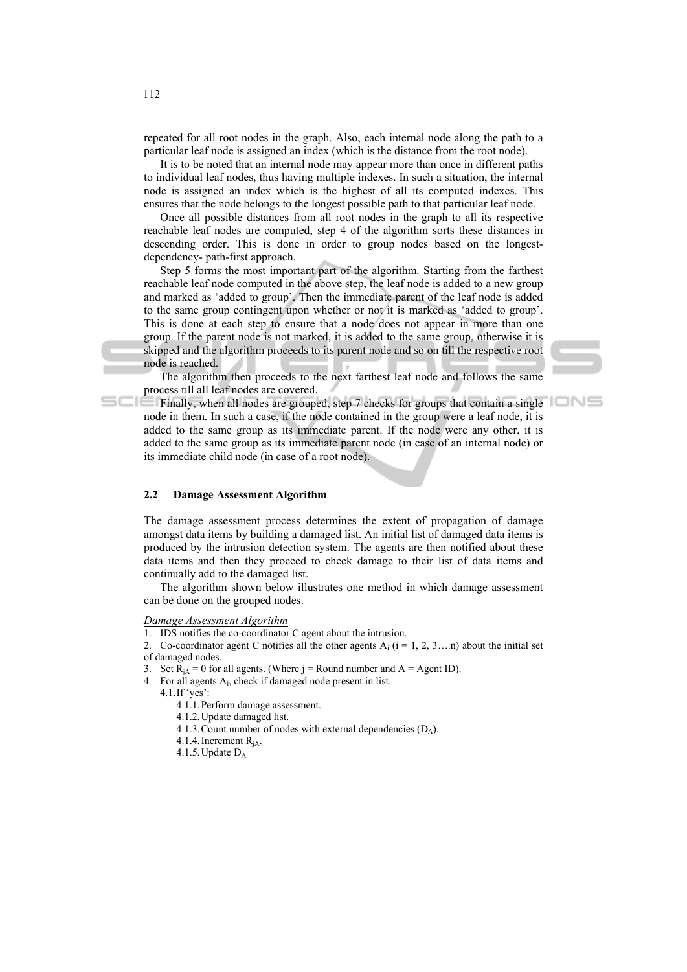repeated for all root nodes in the graph. Also, each internal node along the path to a particular leaf node is assigned an index (which is the distance from the root node).

It is to be noted that an internal node may appear more than once in different paths to individual leaf nodes, thus having multiple indexes. In such a situation, the internal node is assigned an index which is the highest of all its computed indexes. This ensures that the node belongs to the longest possible path to that particular leaf node.

Once all possible distances from all root nodes in the graph to all its respective reachable leaf nodes are computed, step 4 of the algorithm sorts these distances in descending order. This is done in order to group nodes based on the longestdependency- path-first approach.

Step 5 forms the most important part of the algorithm. Starting from the farthest reachable leaf node computed in the above step, the leaf node is added to a new group and marked as 'added to group'. Then the immediate parent of the leaf node is added to the same group contingent upon whether or not it is marked as 'added to group'. This is done at each step to ensure that a node does not appear in more than one group. If the parent node is not marked, it is added to the same group, otherwise it is skipped and the algorithm proceeds to its parent node and so on till the respective root node is reached.

The algorithm then proceeds to the next farthest leaf node and follows the same process till all leaf nodes are covered.



Finally, when all nodes are grouped, step 7 checks for groups that contain a single node in them. In such a case, if the node contained in the group were a leaf node, it is added to the same group as its immediate parent. If the node were any other, it is added to the same group as its immediate parent node (in case of an internal node) or its immediate child node (in case of a root node).

#### **2.2 Damage Assessment Algorithm**

The damage assessment process determines the extent of propagation of damage amongst data items by building a damaged list. An initial list of damaged data items is produced by the intrusion detection system. The agents are then notified about these data items and then they proceed to check damage to their list of data items and continually add to the damaged list.

The algorithm shown below illustrates one method in which damage assessment can be done on the grouped nodes.

#### *Damage Assessment Algorithm*

1. IDS notifies the co-coordinator C agent about the intrusion.

2. Co-coordinator agent C notifies all the other agents  $A_i$  (i = 1, 2, 3...n) about the initial set of damaged nodes.

- 3. Set  $R_{iA} = 0$  for all agents. (Where j = Round number and A = Agent ID).
- 4. For all agents Ai, check if damaged node present in list.

4.1.If 'yes':

- 4.1.1.Perform damage assessment.
- 4.1.2.Update damaged list.
- 4.1.3. Count number of nodes with external dependencies  $(D_A)$ .
- 4.1.4. Increment  $R_{iA}$ .
- 4.1.5.Update DA.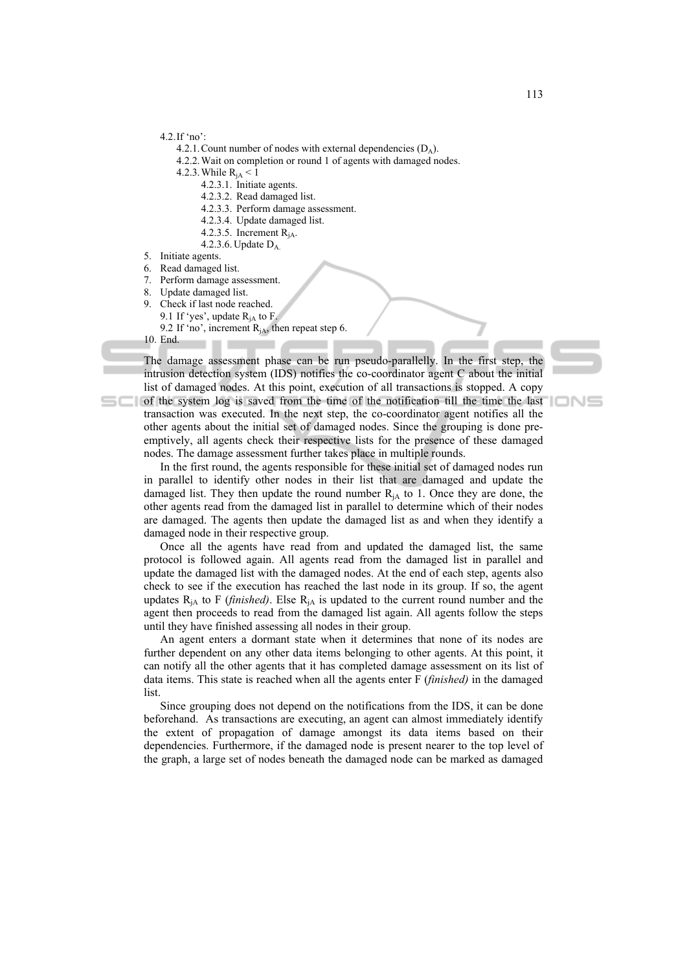4.2.If 'no':

4.2.1. Count number of nodes with external dependencies  $(D_4)$ .

- 4.2.2.Wait on completion or round 1 of agents with damaged nodes.
- 4.2.3. While  $R_{iA} < 1$ 
	- 4.2.3.1. Initiate agents.
	- 4.2.3.2. Read damaged list.
	- 4.2.3.3. Perform damage assessment.
	- 4.2.3.4. Update damaged list.
	- 4.2.3.5. Increment  $R_{iA}$ .
	- 4.2.3.6. Update DA.
- 5. Initiate agents.
- 6. Read damaged list.
- 7. Perform damage assessment.
- 8. Update damaged list.
- Check if last node reached. 9.1 If 'yes', update  $R_{iA}$  to F. 9.2 If 'no', increment  $R_{iA}$ , then repeat step 6.
- 10. End.

sci

The damage assessment phase can be run pseudo-parallelly. In the first step, the intrusion detection system (IDS) notifies the co-coordinator agent C about the initial list of damaged nodes. At this point, execution of all transactions is stopped. A copy

of the system log is saved from the time of the notification till the time the last transaction was executed. In the next step, the co-coordinator agent notifies all the other agents about the initial set of damaged nodes. Since the grouping is done preemptively, all agents check their respective lists for the presence of these damaged nodes. The damage assessment further takes place in multiple rounds.

In the first round, the agents responsible for these initial set of damaged nodes run in parallel to identify other nodes in their list that are damaged and update the damaged list. They then update the round number  $R<sub>iA</sub>$  to 1. Once they are done, the other agents read from the damaged list in parallel to determine which of their nodes are damaged. The agents then update the damaged list as and when they identify a damaged node in their respective group.

Once all the agents have read from and updated the damaged list, the same protocol is followed again. All agents read from the damaged list in parallel and update the damaged list with the damaged nodes. At the end of each step, agents also check to see if the execution has reached the last node in its group. If so, the agent updates  $R_{iA}$  to F (*finished*). Else  $R_{iA}$  is updated to the current round number and the agent then proceeds to read from the damaged list again. All agents follow the steps until they have finished assessing all nodes in their group.

An agent enters a dormant state when it determines that none of its nodes are further dependent on any other data items belonging to other agents. At this point, it can notify all the other agents that it has completed damage assessment on its list of data items. This state is reached when all the agents enter F (*finished)* in the damaged list.

Since grouping does not depend on the notifications from the IDS, it can be done beforehand. As transactions are executing, an agent can almost immediately identify the extent of propagation of damage amongst its data items based on their dependencies. Furthermore, if the damaged node is present nearer to the top level of the graph, a large set of nodes beneath the damaged node can be marked as damaged

IONS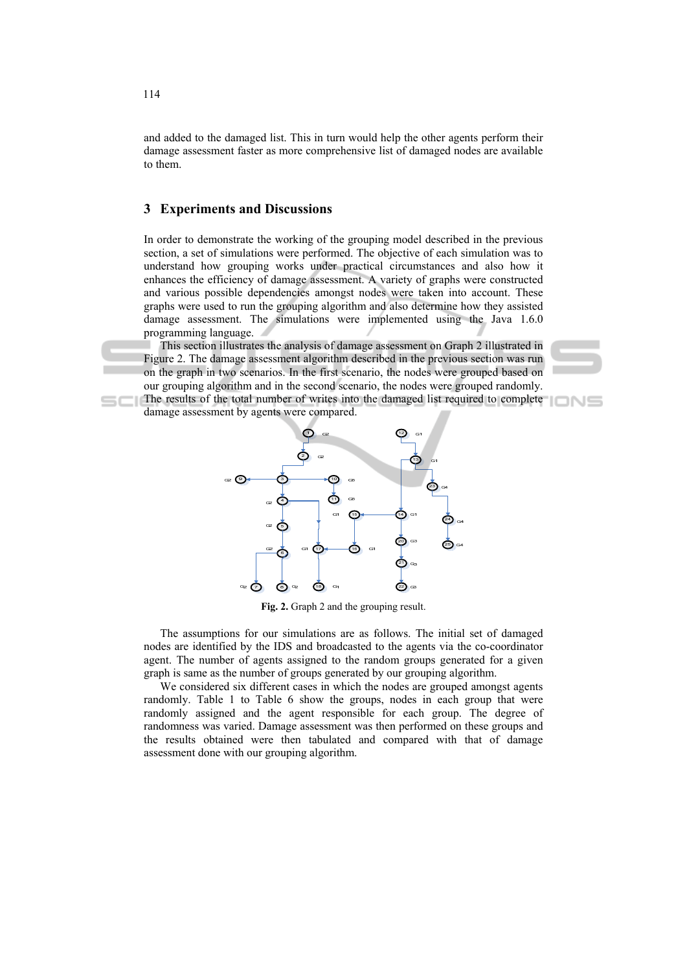and added to the damaged list. This in turn would help the other agents perform their damage assessment faster as more comprehensive list of damaged nodes are available to them.

## **3 Experiments and Discussions**

In order to demonstrate the working of the grouping model described in the previous section, a set of simulations were performed. The objective of each simulation was to understand how grouping works under practical circumstances and also how it enhances the efficiency of damage assessment. A variety of graphs were constructed and various possible dependencies amongst nodes were taken into account. These graphs were used to run the grouping algorithm and also determine how they assisted damage assessment. The simulations were implemented using the Java 1.6.0 programming language.

This section illustrates the analysis of damage assessment on Graph 2 illustrated in Figure 2. The damage assessment algorithm described in the previous section was run on the graph in two scenarios. In the first scenario, the nodes were grouped based on our grouping algorithm and in the second scenario, the nodes were grouped randomly. The results of the total number of writes into the damaged list required to complete

damage assessment by agents were compared.



**Fig. 2.** Graph 2 and the grouping result.

The assumptions for our simulations are as follows. The initial set of damaged nodes are identified by the IDS and broadcasted to the agents via the co-coordinator agent. The number of agents assigned to the random groups generated for a given graph is same as the number of groups generated by our grouping algorithm.

We considered six different cases in which the nodes are grouped amongst agents randomly. Table 1 to Table 6 show the groups, nodes in each group that were randomly assigned and the agent responsible for each group. The degree of randomness was varied. Damage assessment was then performed on these groups and the results obtained were then tabulated and compared with that of damage assessment done with our grouping algorithm.

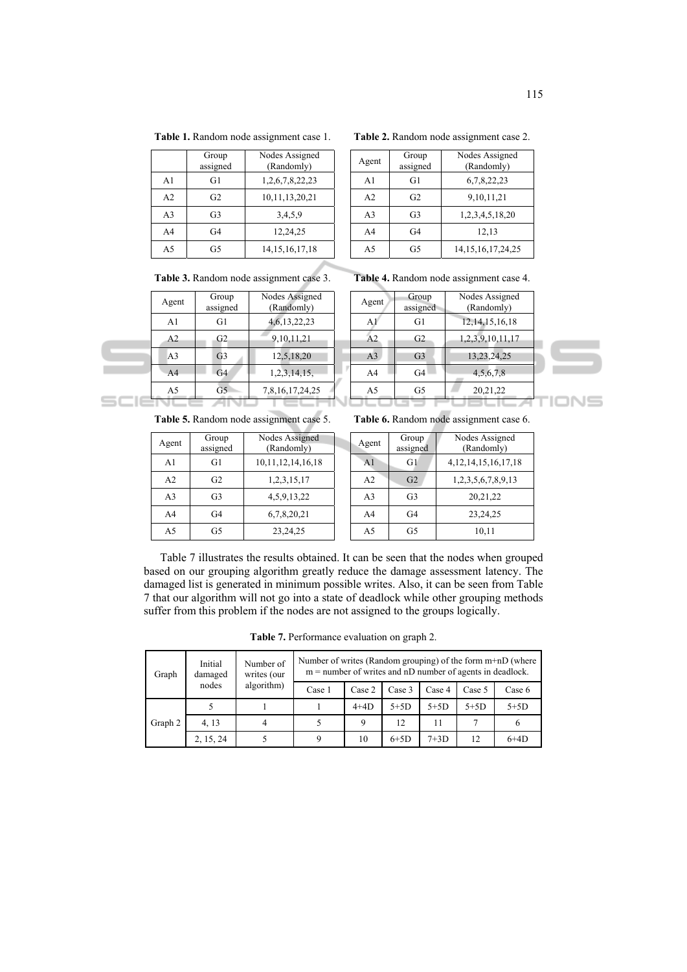|  |  |  | Table 1. Random node assignment case 1. |  |  |
|--|--|--|-----------------------------------------|--|--|
|--|--|--|-----------------------------------------|--|--|

|                | Group<br>assigned | Nodes Assigned<br>(Randomly) |
|----------------|-------------------|------------------------------|
| A <sub>1</sub> | G1                | 1,2,6,7,8,22,23              |
| A <sub>2</sub> | G <sub>2</sub>    | 10,11,13,20,21               |
| A <sub>3</sub> | G <sub>3</sub>    | 3.4.5.9                      |
| A <sub>4</sub> | G4                | 12,24,25                     |
| A5             | G5                | 14, 15, 16, 17, 18           |

**Table 2.** Random node assignment case 2.

| Agent          | Group<br>assigned | Nodes Assigned<br>(Randomly) |
|----------------|-------------------|------------------------------|
| A1             | G1                | 6,7,8,22,23                  |
| A <sub>2</sub> | G2                | 9, 10, 11, 21                |
| A <sub>3</sub> | G <sub>3</sub>    | 1,2,3,4,5,18,20              |
| A <sub>4</sub> | G4                | 12,13                        |
| A5             | G5                | 14, 15, 16, 17, 24, 25       |

**Table 3.** Random node assignment case 3.

| Agent          | Group<br>assigned | Nodes Assigned<br>(Randomly) |
|----------------|-------------------|------------------------------|
| A1             | G1                | 4, 6, 13, 22, 23             |
| A <sub>2</sub> | G <sub>2</sub>    | 9, 10, 11, 21                |
| A <sub>3</sub> | G <sub>3</sub>    | 12,5,18,20                   |
| A <sub>4</sub> | G4                | 1, 2, 3, 14, 15,             |
| A5             | G5                | 7,8,16,17,24,25              |

**Table 4.** Random node assignment case 4.

| 12, 14, 15, 16, 18<br>G1<br>A1<br>A <sub>2</sub><br>1,2,3,9,10,11,17<br>G <sub>2</sub><br>13,23,24,25<br>A <sub>3</sub><br>G <sub>3</sub><br>A <sub>4</sub><br>G4<br>4,5,6,7,8 | Agent | Group<br>assigned | Nodes Assigned<br>(Randomly) |  |
|--------------------------------------------------------------------------------------------------------------------------------------------------------------------------------|-------|-------------------|------------------------------|--|
|                                                                                                                                                                                |       |                   |                              |  |
|                                                                                                                                                                                |       |                   |                              |  |
|                                                                                                                                                                                |       |                   |                              |  |
|                                                                                                                                                                                |       |                   |                              |  |
| A5<br>20,21,22<br>G5                                                                                                                                                           |       |                   |                              |  |

**Table 5.** Random node assignment case 5.

| Agent          | Group<br>assigned | Nodes Assigned<br>(Randomly) |  |
|----------------|-------------------|------------------------------|--|
| A <sub>1</sub> | G1                | 10, 11, 12, 14, 16, 18       |  |
| A <sub>2</sub> | G <sub>2</sub>    | 1, 2, 3, 15, 17              |  |
| A <sub>3</sub> | G <sub>3</sub>    | 4, 5, 9, 13, 22              |  |
| A4             | G4                | 6,7,8,20,21                  |  |
| A5             | G5                | 23, 24, 25                   |  |

| Group<br>Agent<br>assigned |                | Nodes Assigned<br>(Randomly) |
|----------------------------|----------------|------------------------------|
| A <sub>1</sub>             | G1             | 4, 12, 14, 15, 16, 17, 18    |
| A <sub>2</sub>             | G <sub>2</sub> | 1,2,3,5,6,7,8,9,13           |
| A <sub>3</sub>             | G <sub>3</sub> | 20, 21, 22                   |
| A <sub>4</sub>             | G4             | 23, 24, 25                   |
| A <sub>5</sub>             | G5             | 10,11                        |

Table 7 illustrates the results obtained. It can be seen that the nodes when grouped based on our grouping algorithm greatly reduce the damage assessment latency. The damaged list is generated in minimum possible writes. Also, it can be seen from Table 7 that our algorithm will not go into a state of deadlock while other grouping methods suffer from this problem if the nodes are not assigned to the groups logically.

**Table 7.** Performance evaluation on graph 2.

| Graph   | Initial<br>damaged<br>nodes | Number of<br>writes (our<br>algorithm) | Number of writes (Random grouping) of the form $m+nD$ (where<br>$m =$ number of writes and nD number of agents in deadlock. |        |        |        |        |        |
|---------|-----------------------------|----------------------------------------|-----------------------------------------------------------------------------------------------------------------------------|--------|--------|--------|--------|--------|
|         |                             |                                        | Case 1                                                                                                                      | Case 2 | Case 3 | Case 4 | Case 5 | Case 6 |
| Graph 2 |                             |                                        |                                                                                                                             | $4+4D$ | $5+5D$ | $5+5D$ | $5+5D$ | $5+5D$ |
|         | 4, 13                       | 4                                      |                                                                                                                             | Q      | 12     | 11     |        | h      |
|         | 2, 15, 24                   |                                        |                                                                                                                             | 10     | $6+5D$ | $7+3D$ | 12     | $6+4D$ |